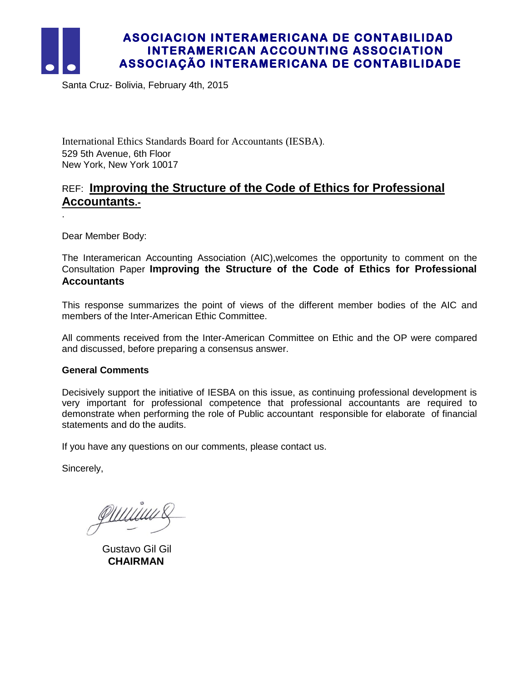

.

# **ASOCIACION INTERAMERICANA DE CONTABILIDAD INTERAMERICAN ACCOUNTING ASSOCIATION ASSOCIAÇÃO INTERAMERICANA DE CONTABILIDADE**

Santa Cruz- Bolivia, February 4th, 2015

International Ethics Standards Board for Accountants (IESBA). 529 5th Avenue, 6th Floor New York, New York 10017

# REF: **Improving the Structure of the Code of Ethics for Professional Accountants.-**

Dear Member Body:

The Interamerican Accounting Association (AIC),welcomes the opportunity to comment on the Consultation Paper **Improving the Structure of the Code of Ethics for Professional Accountants**

This response summarizes the point of views of the different member bodies of the AIC and members of the Inter-American Ethic Committee.

All comments received from the Inter-American Committee on Ethic and the OP were compared and discussed, before preparing a consensus answer.

# **General Comments**

Decisively support the initiative of IESBA on this issue, as continuing professional development is very important for professional competence that professional accountants are required to demonstrate when performing the role of Public accountant responsible for elaborate of financial statements and do the audits.

If you have any questions on our comments, please contact us.

Sincerely,

<u>PUUUUUS</u>

 Gustavo Gil Gil **CHAIRMAN**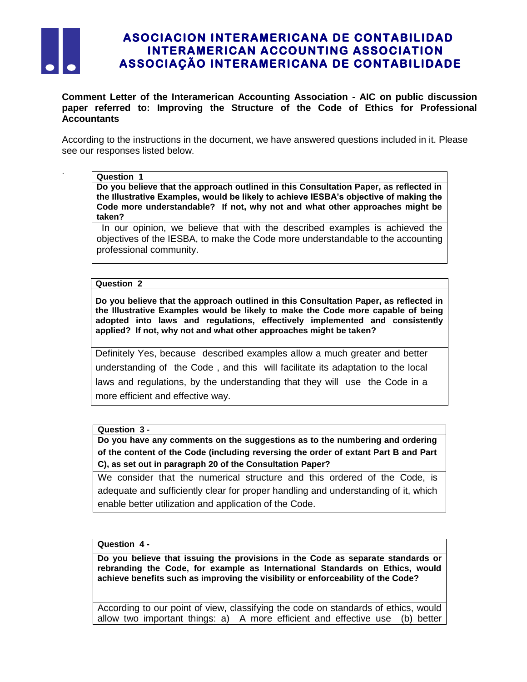

.

# **ASOCIACION INTERAMERICANA DE CONTABILIDAD INTERAMERICAN ACCOUNTING ASSOCIATION ASSOCIAÇÃO INTERAMERICANA DE CONTABILIDADE**

**Comment Letter of the Interamerican Accounting Association - AIC on public discussion paper referred to: Improving the Structure of the Code of Ethics for Professional Accountants**

According to the instructions in the document, we have answered questions included in it. Please see our responses listed below.

### **Question 1**

**Do you believe that the approach outlined in this Consultation Paper, as reflected in the Illustrative Examples, would be likely to achieve IESBA's objective of making the Code more understandable? If not, why not and what other approaches might be taken?** 

In our opinion, we believe that with the described examples is achieved the objectives of the IESBA, to make the Code more understandable to the accounting professional community.

### **Question 2**

**Do you believe that the approach outlined in this Consultation Paper, as reflected in the Illustrative Examples would be likely to make the Code more capable of being adopted into laws and regulations, effectively implemented and consistently applied? If not, why not and what other approaches might be taken?** 

Definitely Yes, because described examples allow a much greater and better understanding of the Code , and this will facilitate its adaptation to the local laws and regulations, by the understanding that they will use the Code in a more efficient and effective way.

### **Question 3 -**

**Do you have any comments on the suggestions as to the numbering and ordering of the content of the Code (including reversing the order of extant Part B and Part C), as set out in paragraph 20 of the Consultation Paper?**

We consider that the numerical structure and this ordered of the Code, is adequate and sufficiently clear for proper handling and understanding of it, which enable better utilization and application of the Code.

## **Question 4 -**

**Do you believe that issuing the provisions in the Code as separate standards or rebranding the Code, for example as International Standards on Ethics, would achieve benefits such as improving the visibility or enforceability of the Code?** 

According to our point of view, classifying the code on standards of ethics, would allow two important things: a) A more efficient and effective use (b) better